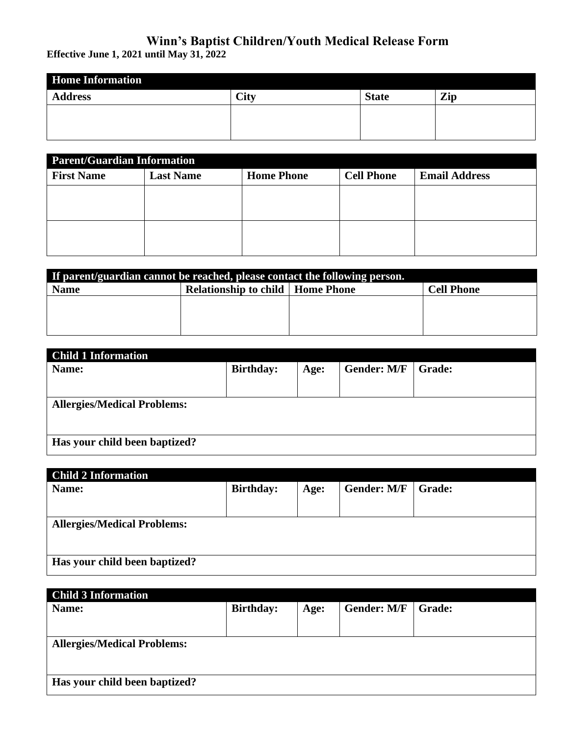## **Winn's Baptist Children/Youth Medical Release Form**

**Effective June 1, 2021 until May 31, 2022**

| <b>Home Information</b> |      |              |     |  |
|-------------------------|------|--------------|-----|--|
| <b>Address</b>          | City | <b>State</b> | Zip |  |
|                         |      |              |     |  |
|                         |      |              |     |  |

| <b>Parent/Guardian Information</b> |                  |                   |                   |                      |  |
|------------------------------------|------------------|-------------------|-------------------|----------------------|--|
| <b>First Name</b>                  | <b>Last Name</b> | <b>Home Phone</b> | <b>Cell Phone</b> | <b>Email Address</b> |  |
|                                    |                  |                   |                   |                      |  |
|                                    |                  |                   |                   |                      |  |
|                                    |                  |                   |                   |                      |  |
|                                    |                  |                   |                   |                      |  |

| If parent/guardian cannot be reached, please contact the following person. |                                           |  |                   |  |
|----------------------------------------------------------------------------|-------------------------------------------|--|-------------------|--|
| <b>Name</b>                                                                | <b>Relationship to child   Home Phone</b> |  | <b>Cell Phone</b> |  |
|                                                                            |                                           |  |                   |  |
|                                                                            |                                           |  |                   |  |
|                                                                            |                                           |  |                   |  |

| <b>Child 1 Information</b>         |                  |      |                    |               |
|------------------------------------|------------------|------|--------------------|---------------|
| Name:                              | <b>Birthday:</b> | Age: | <b>Gender: M/F</b> | <b>Grade:</b> |
|                                    |                  |      |                    |               |
|                                    |                  |      |                    |               |
| <b>Allergies/Medical Problems:</b> |                  |      |                    |               |
| Has your child been baptized?      |                  |      |                    |               |

| <b>Child 2 Information</b>         |                  |      |                    |               |
|------------------------------------|------------------|------|--------------------|---------------|
| Name:                              | <b>Birthday:</b> | Age: | <b>Gender: M/F</b> | <b>Grade:</b> |
|                                    |                  |      |                    |               |
|                                    |                  |      |                    |               |
|                                    |                  |      |                    |               |
| <b>Allergies/Medical Problems:</b> |                  |      |                    |               |
|                                    |                  |      |                    |               |
|                                    |                  |      |                    |               |
|                                    |                  |      |                    |               |
| Has your child been baptized?      |                  |      |                    |               |
|                                    |                  |      |                    |               |

| <b>Child 3 Information</b>         |                  |      |                    |               |
|------------------------------------|------------------|------|--------------------|---------------|
| Name:                              | <b>Birthday:</b> | Age: | <b>Gender: M/F</b> | <b>Grade:</b> |
|                                    |                  |      |                    |               |
|                                    |                  |      |                    |               |
|                                    |                  |      |                    |               |
| <b>Allergies/Medical Problems:</b> |                  |      |                    |               |
|                                    |                  |      |                    |               |
|                                    |                  |      |                    |               |
|                                    |                  |      |                    |               |
| Has your child been baptized?      |                  |      |                    |               |
|                                    |                  |      |                    |               |